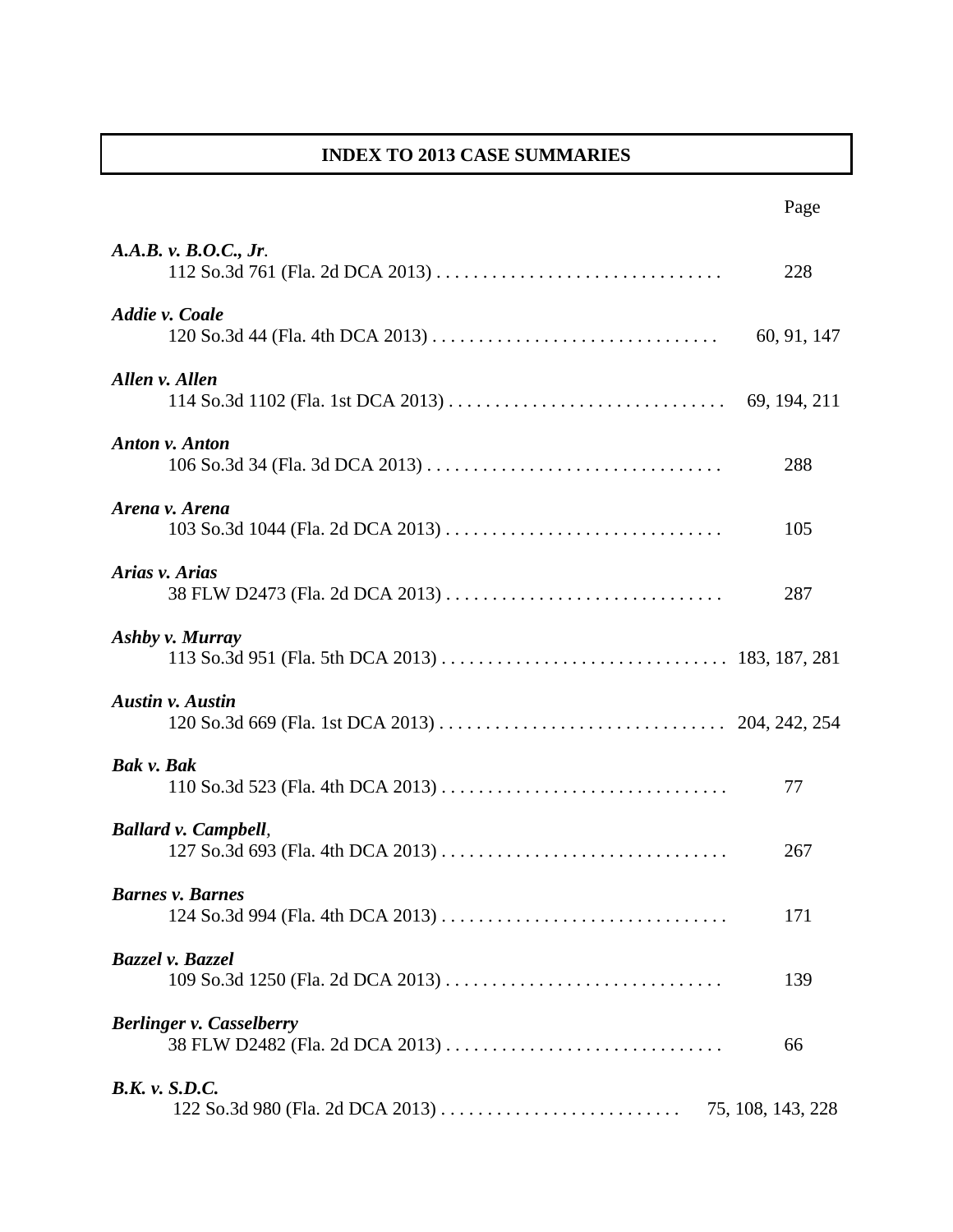## **INDEX TO 2013 CASE SUMMARIES**

|                                                                    | Page              |
|--------------------------------------------------------------------|-------------------|
| A.A.B. v. B.O.C., Jr.                                              | 228               |
| Addie v. Coale                                                     | 60, 91, 147       |
| Allen v. Allen                                                     |                   |
| <b>Anton v. Anton</b>                                              | 288               |
| Arena v. Arena                                                     | 105               |
| Arias v. Arias<br>38 FLW D2473 (Fla. 2d DCA 2013)                  | 287               |
| Ashby v. Murray                                                    |                   |
| <b>Austin v. Austin</b>                                            |                   |
| Bak v. Bak                                                         | 77                |
| <b>Ballard v. Campbell,</b>                                        | 267               |
| <b>Barnes v. Barnes</b>                                            | 171               |
| Bazzel v. Bazzel                                                   | 139               |
| <b>Berlinger v. Casselberry</b><br>38 FLW D2482 (Fla. 2d DCA 2013) | 66                |
| <b>B.K.</b> v. S.D.C.                                              | 75, 108, 143, 228 |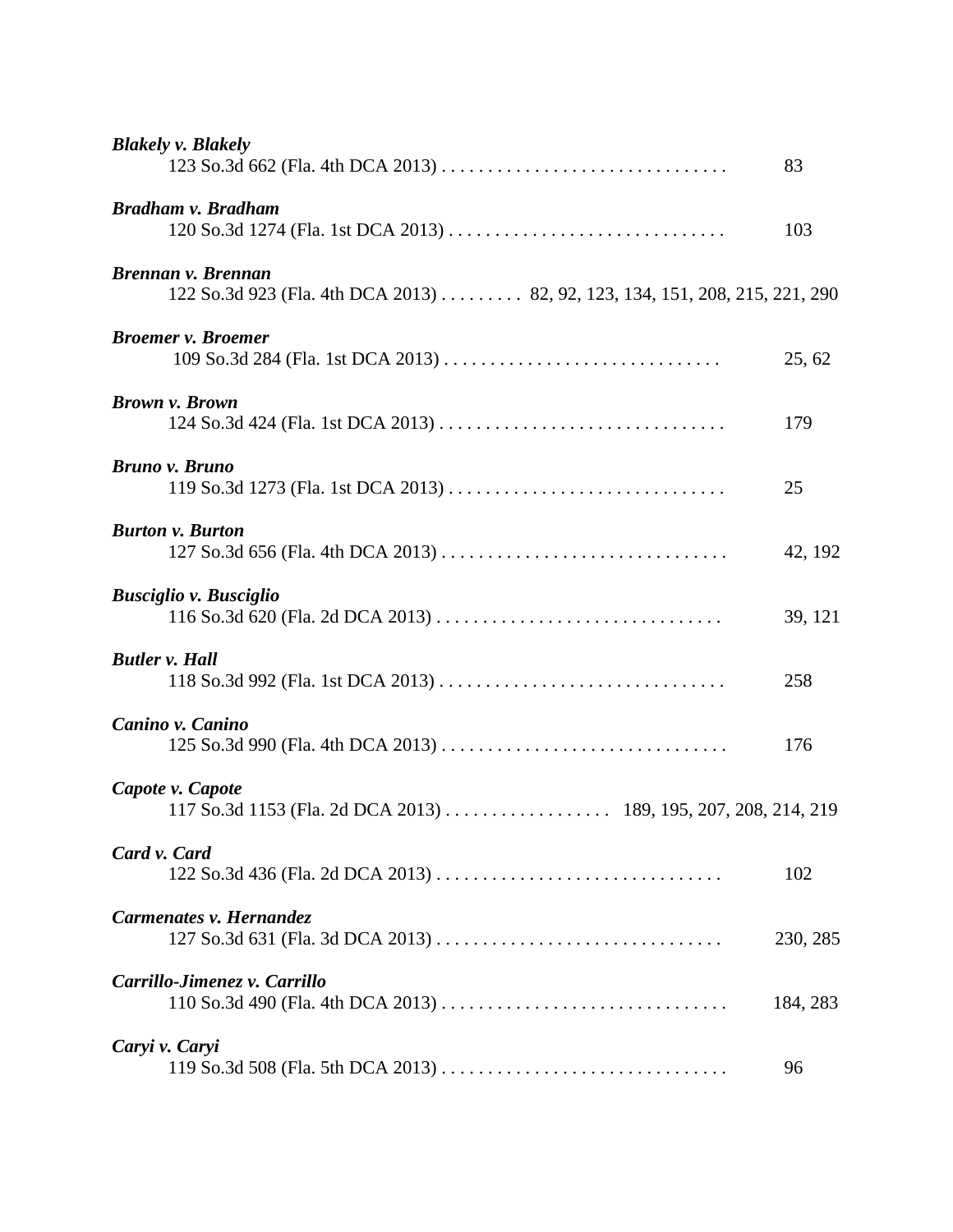| <b>Blakely v. Blakely</b>                                                                         | 83       |
|---------------------------------------------------------------------------------------------------|----------|
| <b>Bradham v. Bradham</b>                                                                         | 103      |
| Brennan v. Brennan<br>122 So.3d 923 (Fla. 4th DCA 2013) 82, 92, 123, 134, 151, 208, 215, 221, 290 |          |
| <b>Broemer v. Broemer</b>                                                                         | 25, 62   |
| <b>Brown v. Brown</b>                                                                             | 179      |
| <b>Bruno v. Bruno</b>                                                                             | 25       |
| <b>Burton v. Burton</b>                                                                           | 42, 192  |
| <b>Busciglio v. Busciglio</b>                                                                     | 39, 121  |
| <b>Butler v. Hall</b>                                                                             | 258      |
| Canino v. Canino                                                                                  | 176      |
| Capote v. Capote                                                                                  |          |
| Card v. Card<br>122 So.3d 436 (Fla. 2d DCA 2013)                                                  | 102      |
| Carmenates v. Hernandez<br>127 So.3d 631 (Fla. 3d DCA 2013)                                       | 230, 285 |
| Carrillo-Jimenez v. Carrillo                                                                      | 184, 283 |
| Caryi v. Caryi                                                                                    | 96       |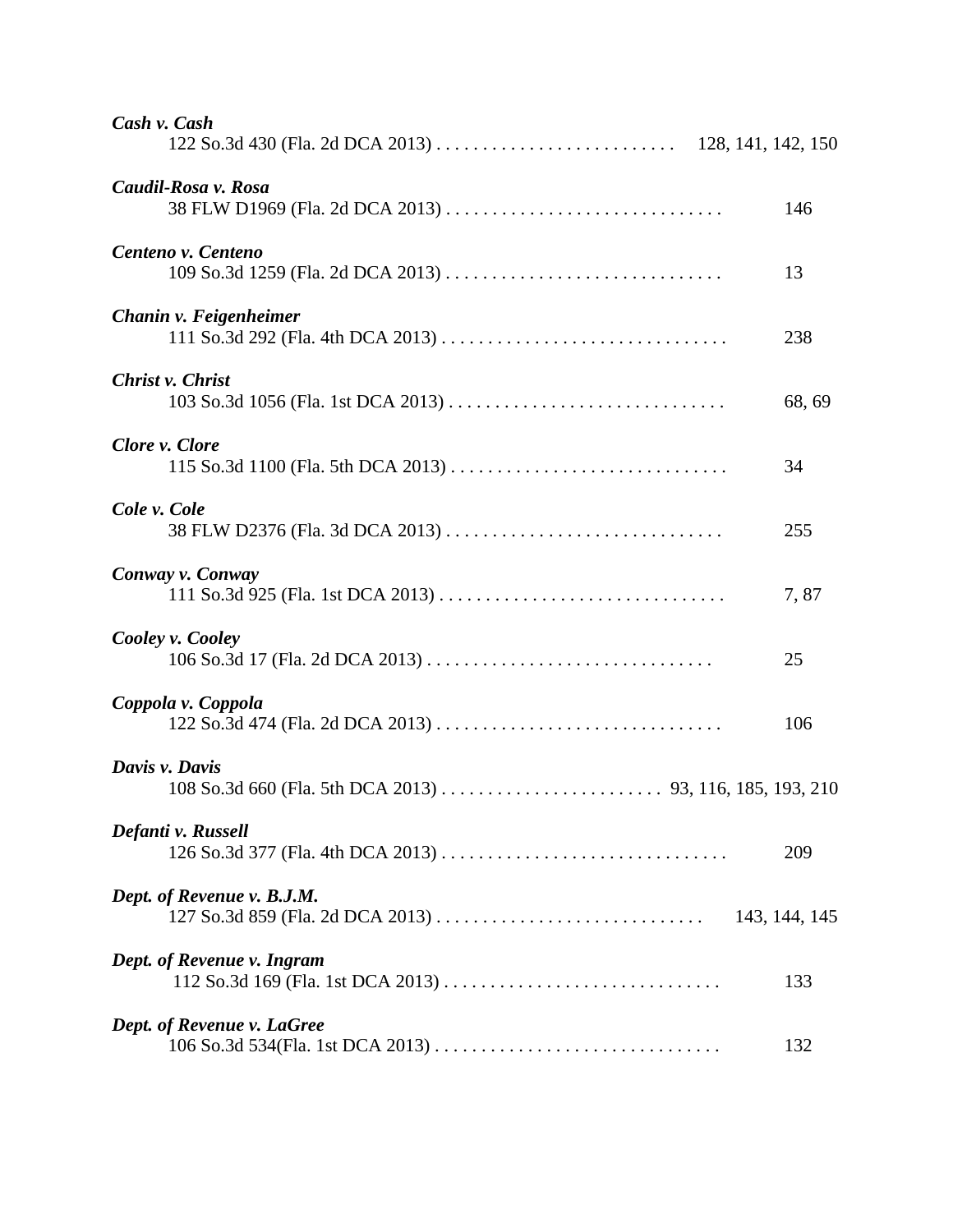| Cash v. Cash                                           |               |
|--------------------------------------------------------|---------------|
| Caudil-Rosa v. Rosa<br>38 FLW D1969 (Fla. 2d DCA 2013) | 146           |
| Centeno v. Centeno                                     | 13            |
| Chanin v. Feigenheimer                                 | 238           |
| Christ v. Christ                                       | 68, 69        |
| Clore v. Clore                                         | 34            |
| Cole v. Cole                                           | 255           |
| Conway v. Conway                                       | 7,87          |
| Cooley v. Cooley                                       | 25            |
| Coppola v. Coppola                                     | 106           |
| Davis v. Davis                                         |               |
| Defanti v. Russell                                     | 209           |
| Dept. of Revenue v. B.J.M.                             | 143, 144, 145 |
| Dept. of Revenue v. Ingram                             | 133           |
| Dept. of Revenue v. LaGree                             | 132           |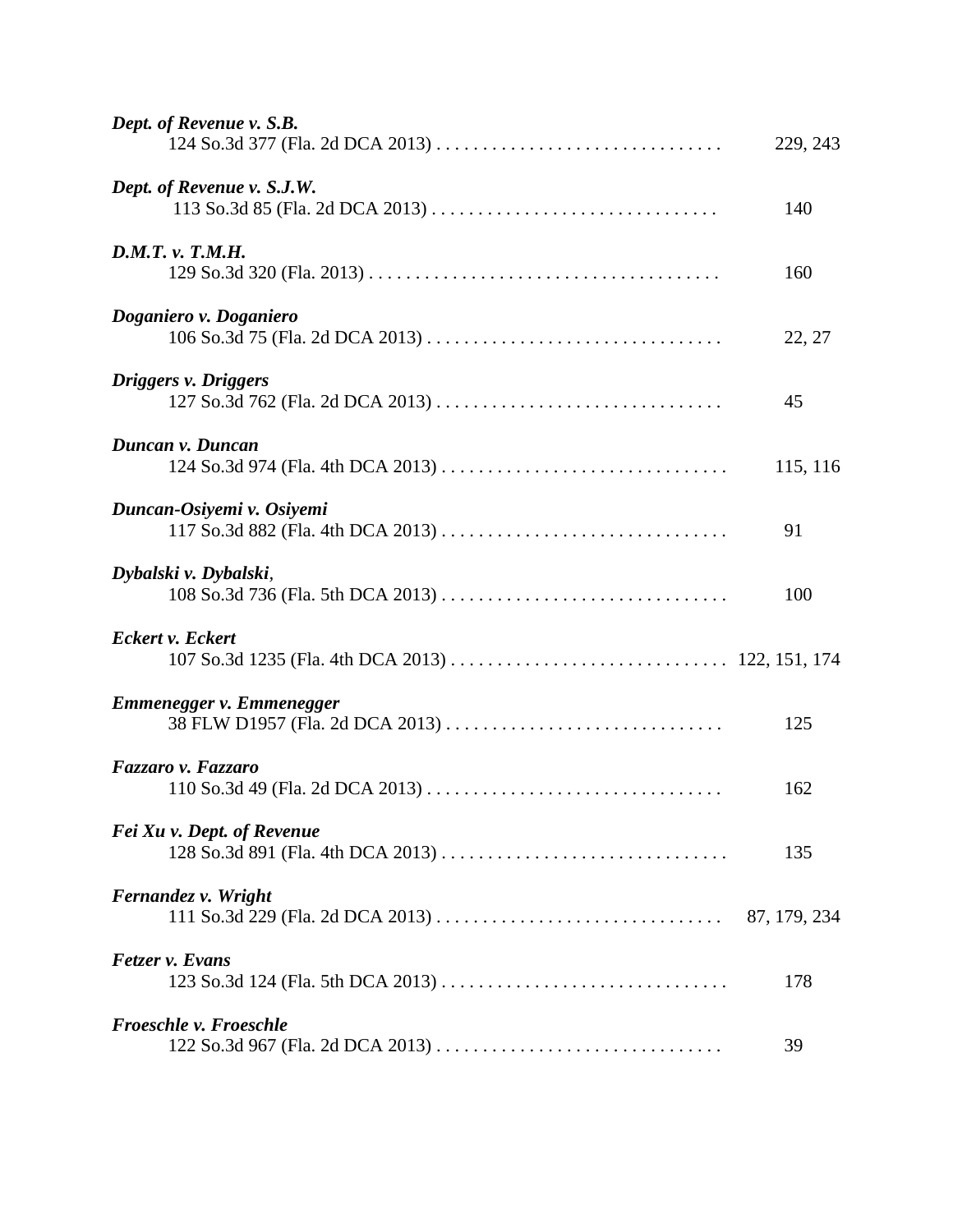| Dept. of Revenue v. S.B.<br>124 So.3d 377 (Fla. 2d DCA 2013) | 229, 243 |
|--------------------------------------------------------------|----------|
| Dept. of Revenue v. S.J.W.                                   | 140      |
| D.M.T. v. T.M.H.                                             | 160      |
| Doganiero v. Doganiero                                       | 22, 27   |
| Driggers v. Driggers                                         | 45       |
| Duncan v. Duncan                                             | 115, 116 |
| Duncan-Osiyemi v. Osiyemi                                    | 91       |
| Dybalski v. Dybalski,                                        | 100      |
| <b>Eckert v. Eckert</b>                                      |          |
| Emmenegger v. Emmenegger<br>38 FLW D1957 (Fla. 2d DCA 2013)  | 125      |
| Fazzaro v. Fazzaro                                           | 162      |
| Fei Xu v. Dept. of Revenue                                   | 135      |
| Fernandez v. Wright                                          |          |
| Fetzer v. Evans                                              | 178      |
| <b>Froeschle v. Froeschle</b>                                | 39       |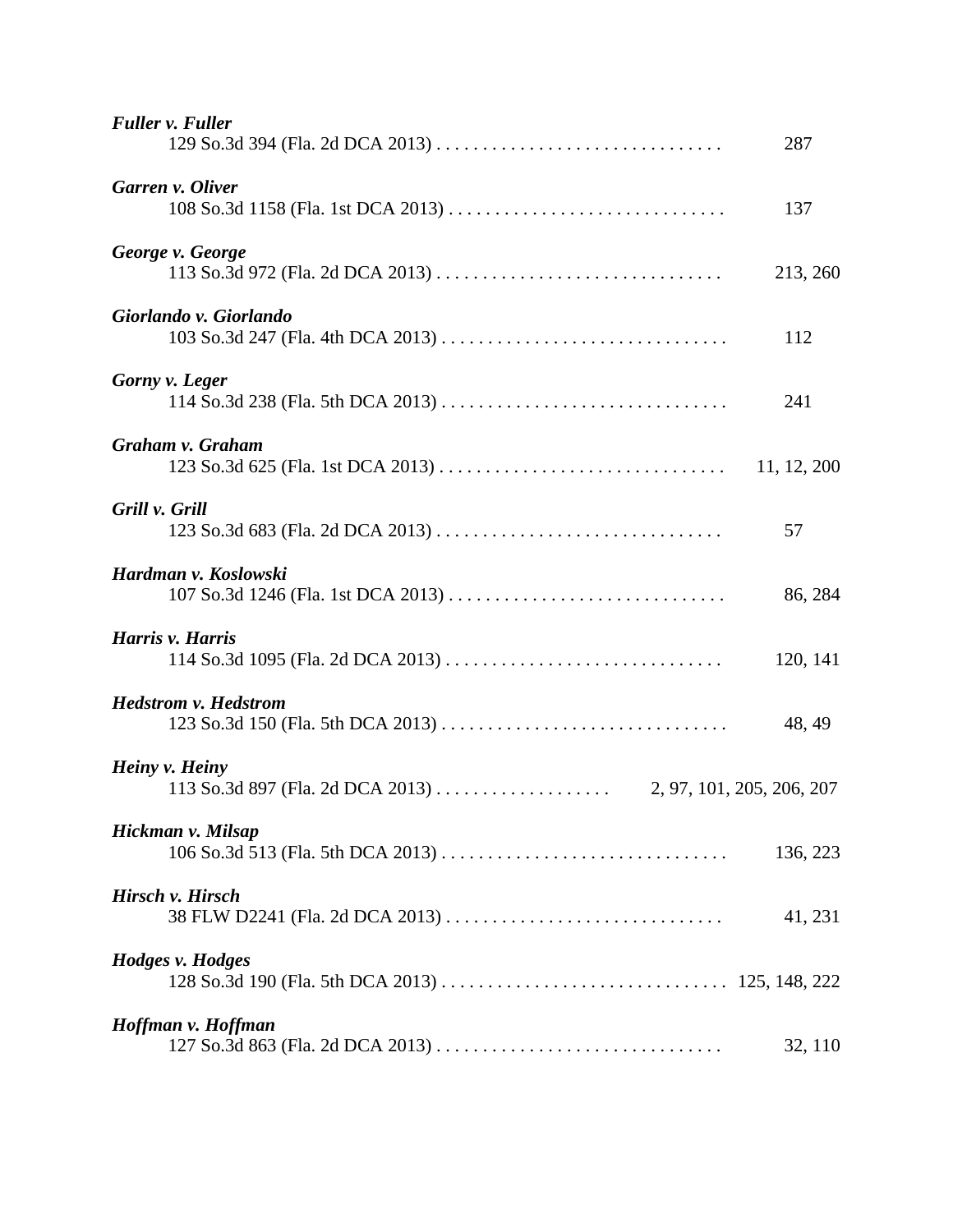| <b>Fuller v. Fuller</b>                             | 287         |
|-----------------------------------------------------|-------------|
| Garren v. Oliver                                    | 137         |
| George v. George                                    | 213, 260    |
| Giorlando v. Giorlando                              | 112         |
| Gorny v. Leger                                      | 241         |
| Graham v. Graham                                    | 11, 12, 200 |
| Grill v. Grill                                      | 57          |
| Hardman v. Koslowski                                | 86, 284     |
| Harris v. Harris                                    | 120, 141    |
| <b>Hedstrom v. Hedstrom</b>                         | 48, 49      |
| Heiny v. Heiny                                      |             |
| Hickman v. Milsap                                   | 136, 223    |
| Hirsch v. Hirsch<br>38 FLW D2241 (Fla. 2d DCA 2013) | 41, 231     |
| Hodges v. Hodges                                    |             |
| Hoffman v. Hoffman                                  | 32, 110     |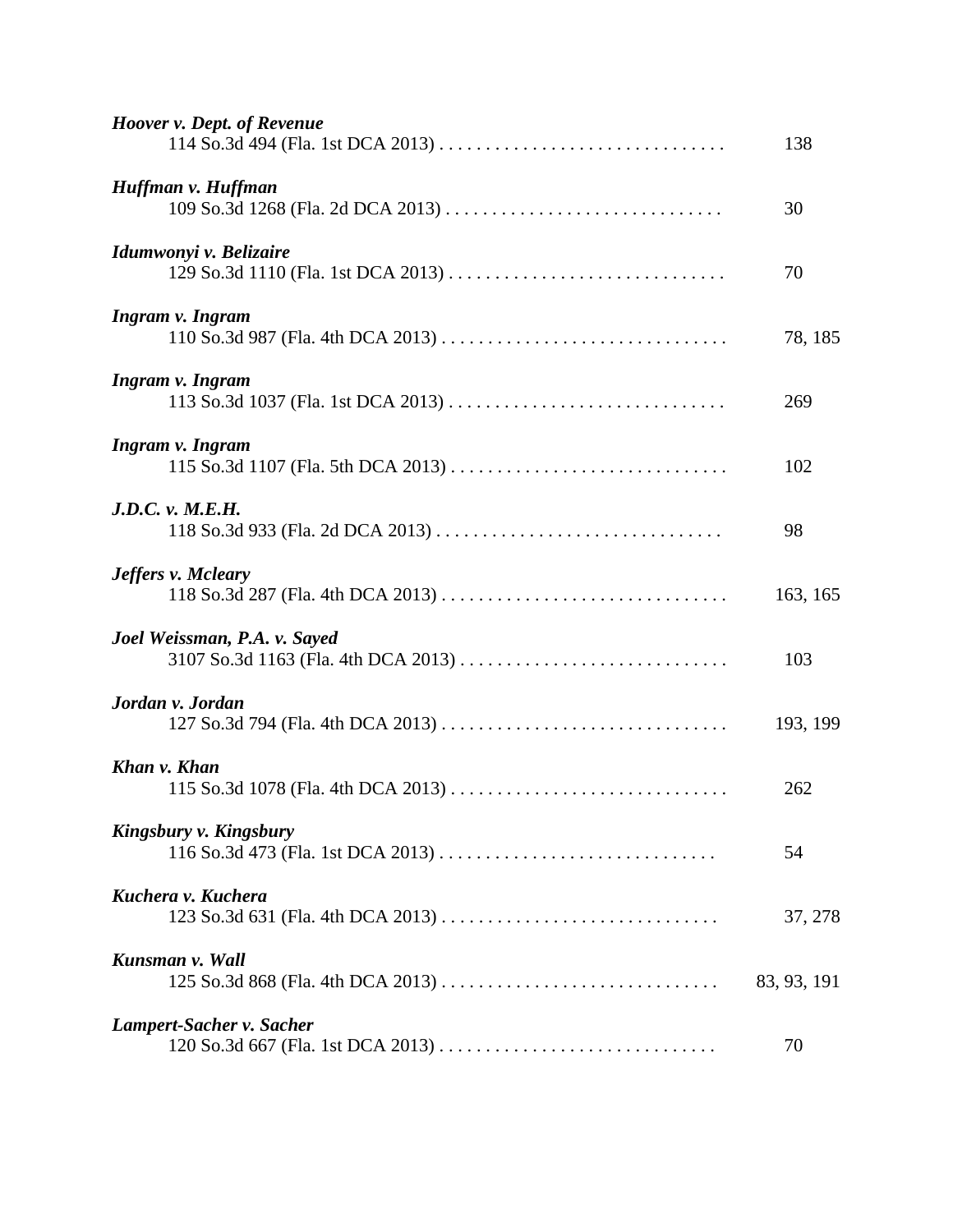| Hoover v. Dept. of Revenue                                   | 138         |
|--------------------------------------------------------------|-------------|
| Huffman v. Huffman                                           | 30          |
| Idumwonyi v. Belizaire<br>129 So.3d 1110 (Fla. 1st DCA 2013) | 70          |
| Ingram v. Ingram                                             | 78, 185     |
| Ingram v. Ingram                                             | 269         |
| Ingram v. Ingram                                             | 102         |
| J.D.C. v. M.E.H.                                             | 98          |
| <b>Jeffers v. Mcleary</b>                                    | 163, 165    |
| Joel Weissman, P.A. v. Sayed                                 | 103         |
| Jordan v. Jordan                                             | 193, 199    |
| Khan v. Khan                                                 | 262         |
| Kingsbury v. Kingsbury                                       | 54          |
| Kuchera v. Kuchera<br>123 So.3d 631 (Fla. 4th DCA 2013)      | 37, 278     |
| Kunsman v. Wall                                              | 83, 93, 191 |
| Lampert-Sacher v. Sacher                                     | 70          |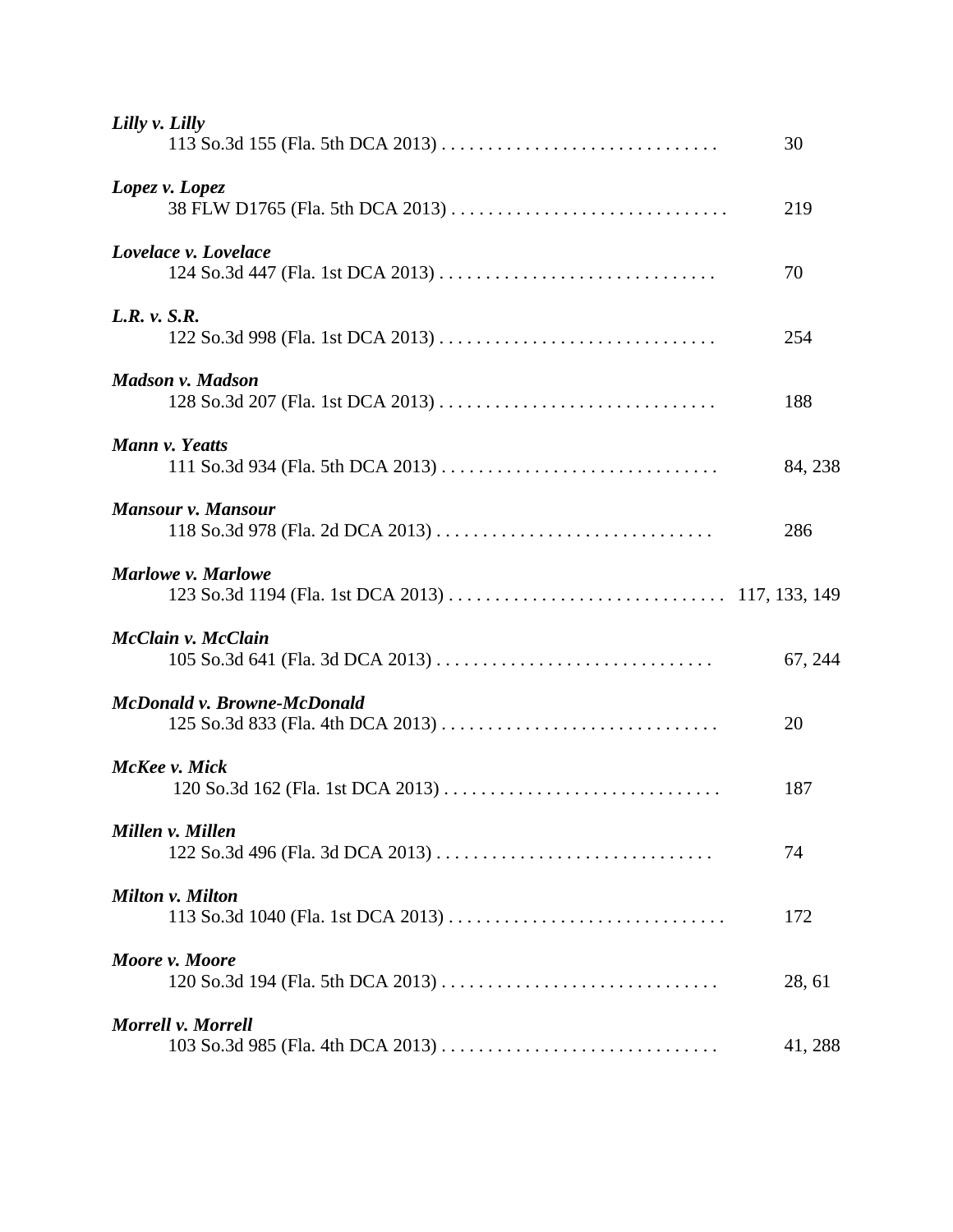| Lilly v. Lilly                                            | 30      |
|-----------------------------------------------------------|---------|
| Lopez v. Lopez                                            | 219     |
| Lovelace v. Lovelace<br>124 So.3d 447 (Fla. 1st DCA 2013) | 70      |
| L.R. v. S.R.<br>122 So.3d 998 (Fla. 1st DCA 2013)         | 254     |
| <b>Madson v. Madson</b>                                   | 188     |
| Mann v. Yeatts                                            | 84, 238 |
| <b>Mansour v. Mansour</b>                                 | 286     |
| Marlowe v. Marlowe                                        |         |
| McClain v. McClain                                        | 67, 244 |
| McDonald v. Browne-McDonald                               | 20      |
| McKee v. Mick                                             | 187     |
| Millen v. Millen                                          | 74      |
| Milton v. Milton                                          | 172     |
| Moore v. Moore                                            | 28, 61  |
| Morrell v. Morrell                                        | 41, 288 |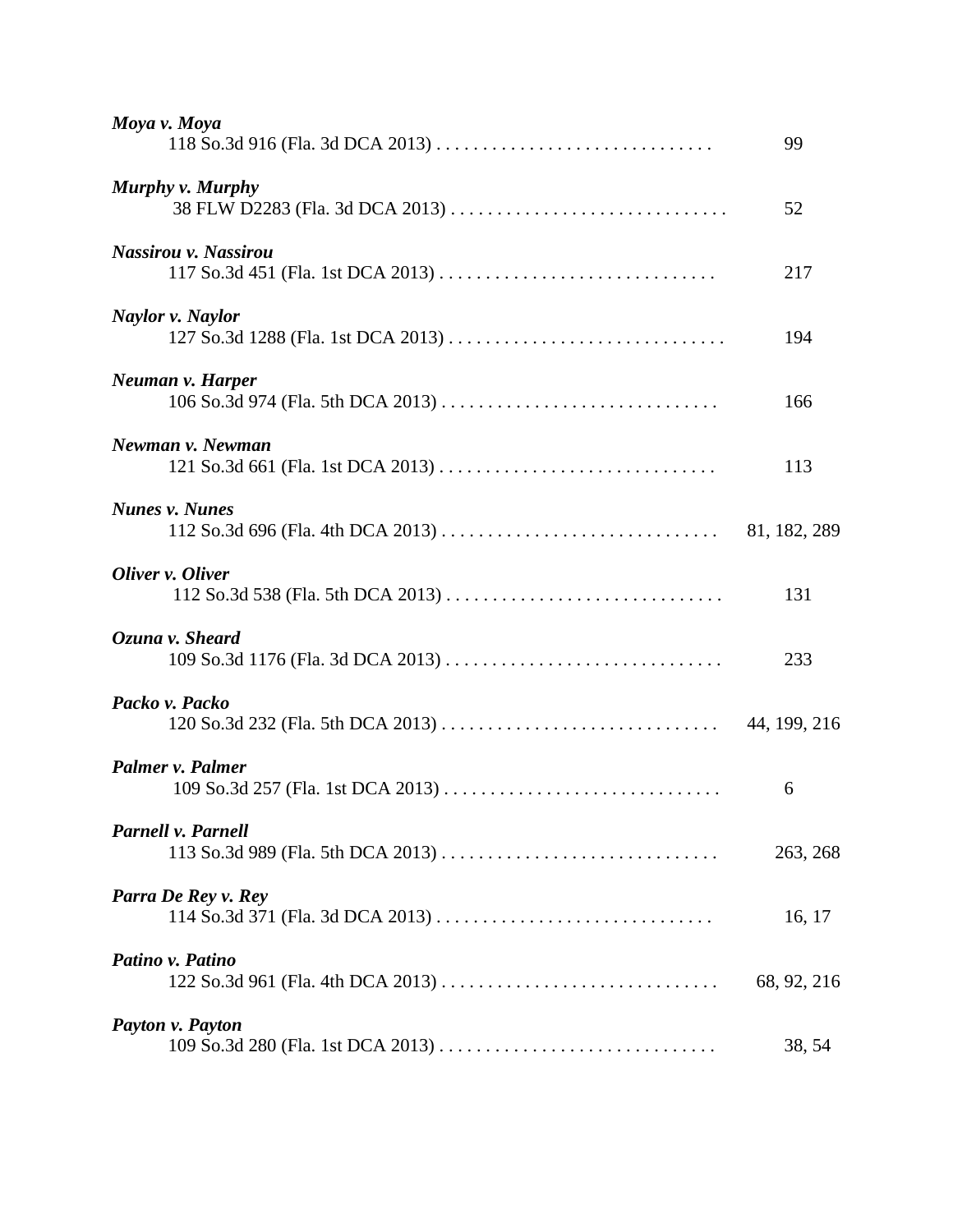| Moya v. Moya                                        | 99          |
|-----------------------------------------------------|-------------|
| Murphy v. Murphy<br>38 FLW D2283 (Fla. 3d DCA 2013) | 52          |
| Nassirou v. Nassirou                                | 217         |
| Naylor v. Naylor                                    | 194         |
| Neuman v. Harper                                    | 166         |
| Newman v. Newman                                    | 113         |
| <b>Nunes v. Nunes</b>                               |             |
| Oliver v. Oliver                                    | 131         |
| Ozuna v. Sheard                                     | 233         |
| Packo v. Packo                                      |             |
| Palmer v. Palmer                                    | 6           |
| Parnell v. Parnell                                  | 263, 268    |
| Parra De Rey v. Rey                                 | 16, 17      |
| Patino v. Patino                                    | 68, 92, 216 |
| Payton v. Payton                                    | 38, 54      |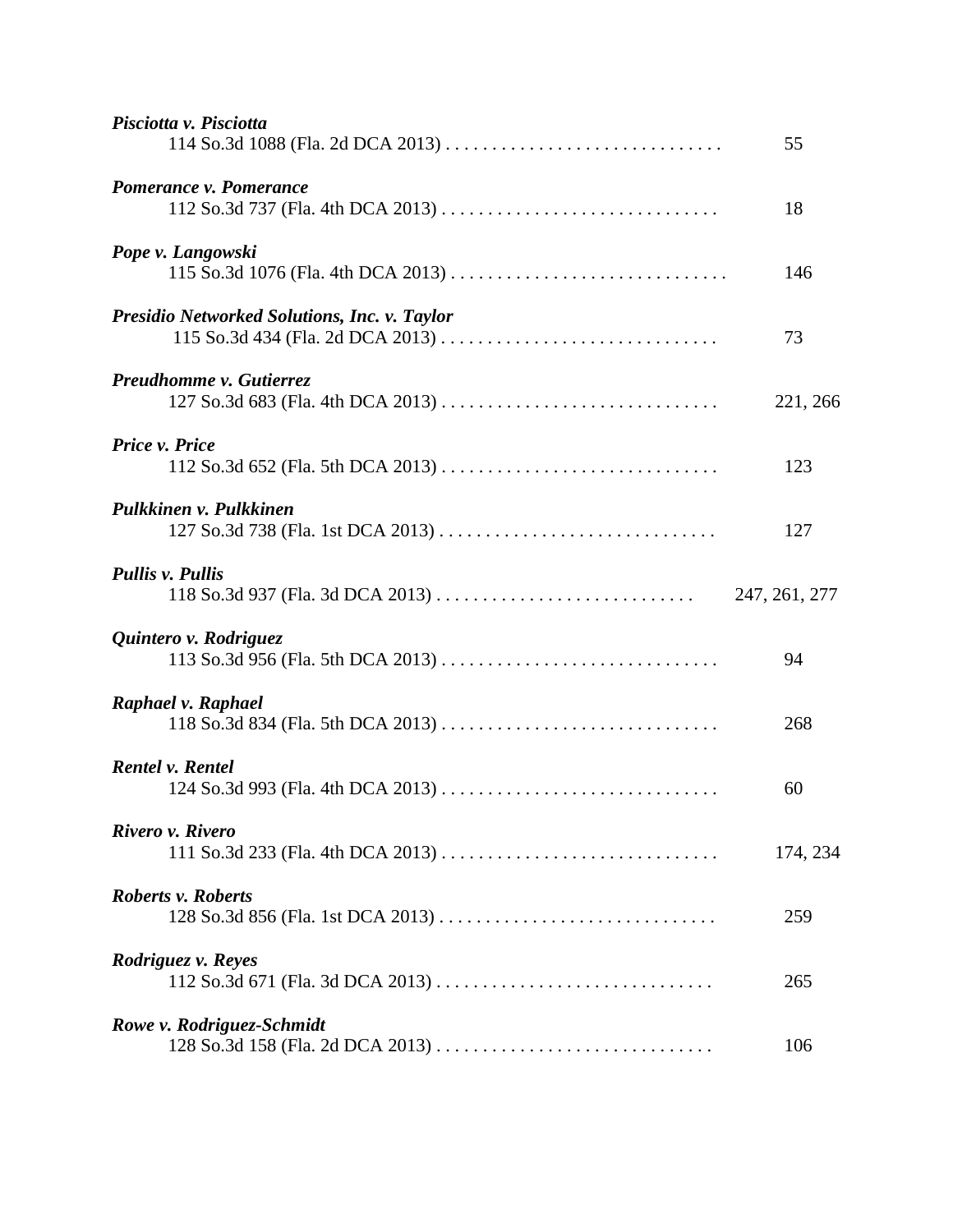| Pisciotta v. Pisciotta                                         | 55            |
|----------------------------------------------------------------|---------------|
| Pomerance v. Pomerance                                         | 18            |
| Pope v. Langowski                                              | 146           |
| <b>Presidio Networked Solutions, Inc. v. Taylor</b>            | 73            |
| Preudhomme v. Gutierrez                                        | 221, 266      |
| Price v. Price                                                 | 123           |
| Pulkkinen v. Pulkkinen                                         | 127           |
| <b>Pullis v. Pullis</b>                                        | 247, 261, 277 |
| Quintero v. Rodriguez                                          | 94            |
| Raphael v. Raphael                                             | 268           |
| <b>Rentel v. Rentel</b>                                        | 60            |
| Rivero v. Rivero                                               | 174, 234      |
| <b>Roberts v. Roberts</b><br>128 So.3d 856 (Fla. 1st DCA 2013) | 259           |
| Rodriguez v. Reyes                                             | 265           |
| Rowe v. Rodriguez-Schmidt                                      | 106           |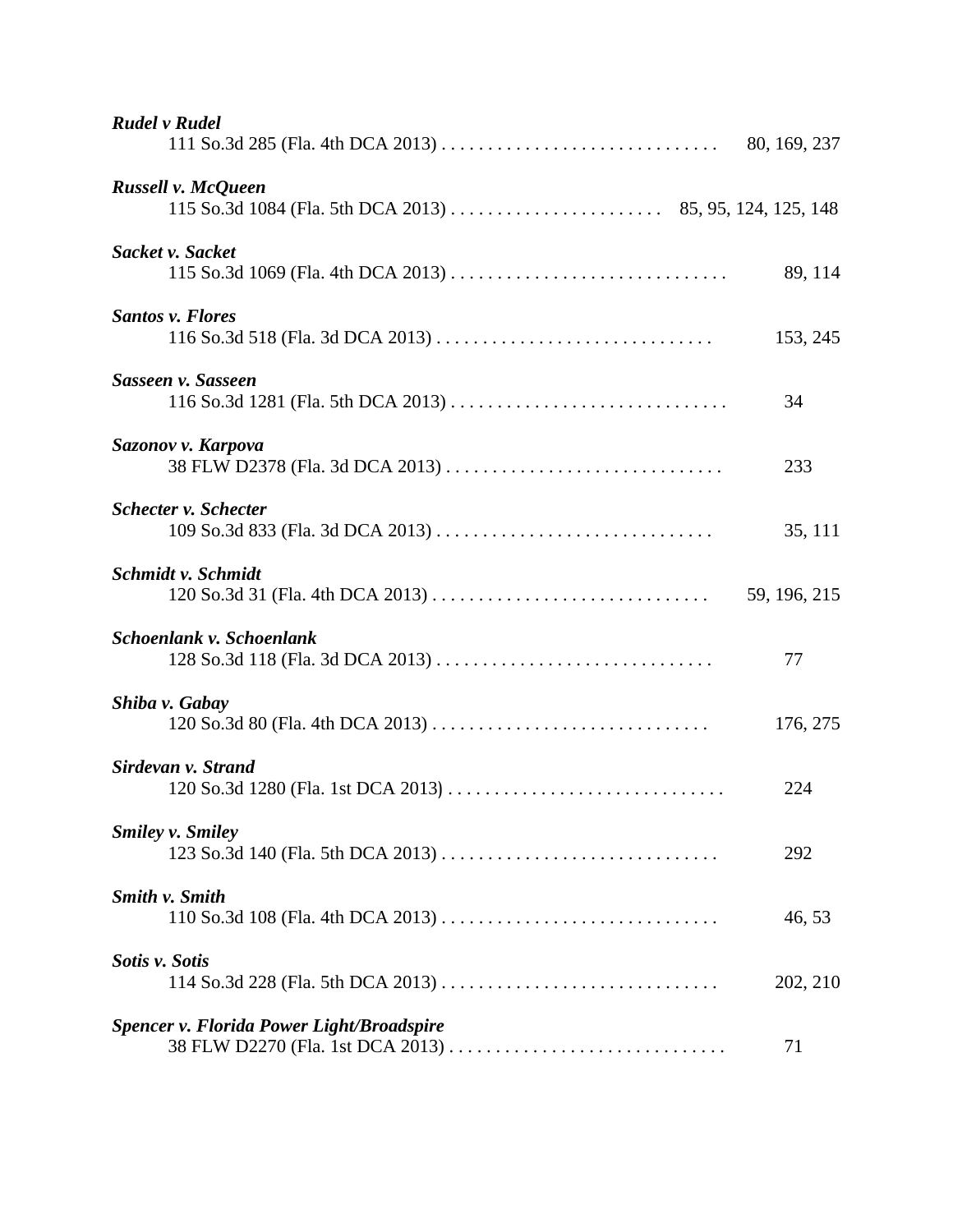| <b>Rudel v Rudel</b>                                  |              |
|-------------------------------------------------------|--------------|
| Russell v. McQueen                                    |              |
| Sacket v. Sacket                                      | 89, 114      |
| <b>Santos v. Flores</b>                               | 153, 245     |
| Sasseen v. Sasseen                                    | 34           |
| Sazonov v. Karpova<br>38 FLW D2378 (Fla. 3d DCA 2013) | 233          |
| <b>Schecter v. Schecter</b>                           | 35, 111      |
| Schmidt v. Schmidt                                    | 59, 196, 215 |
| Schoenlank v. Schoenlank                              | 77           |
| Shiba v. Gabay                                        | 176, 275     |
| Sirdevan v. Strand                                    | 224          |
| <b>Smiley v. Smiley</b>                               | 292          |
| <b>Smith v. Smith</b>                                 | 46, 53       |
| Sotis v. Sotis                                        | 202, 210     |
| <b>Spencer v. Florida Power Light/Broadspire</b>      | 71           |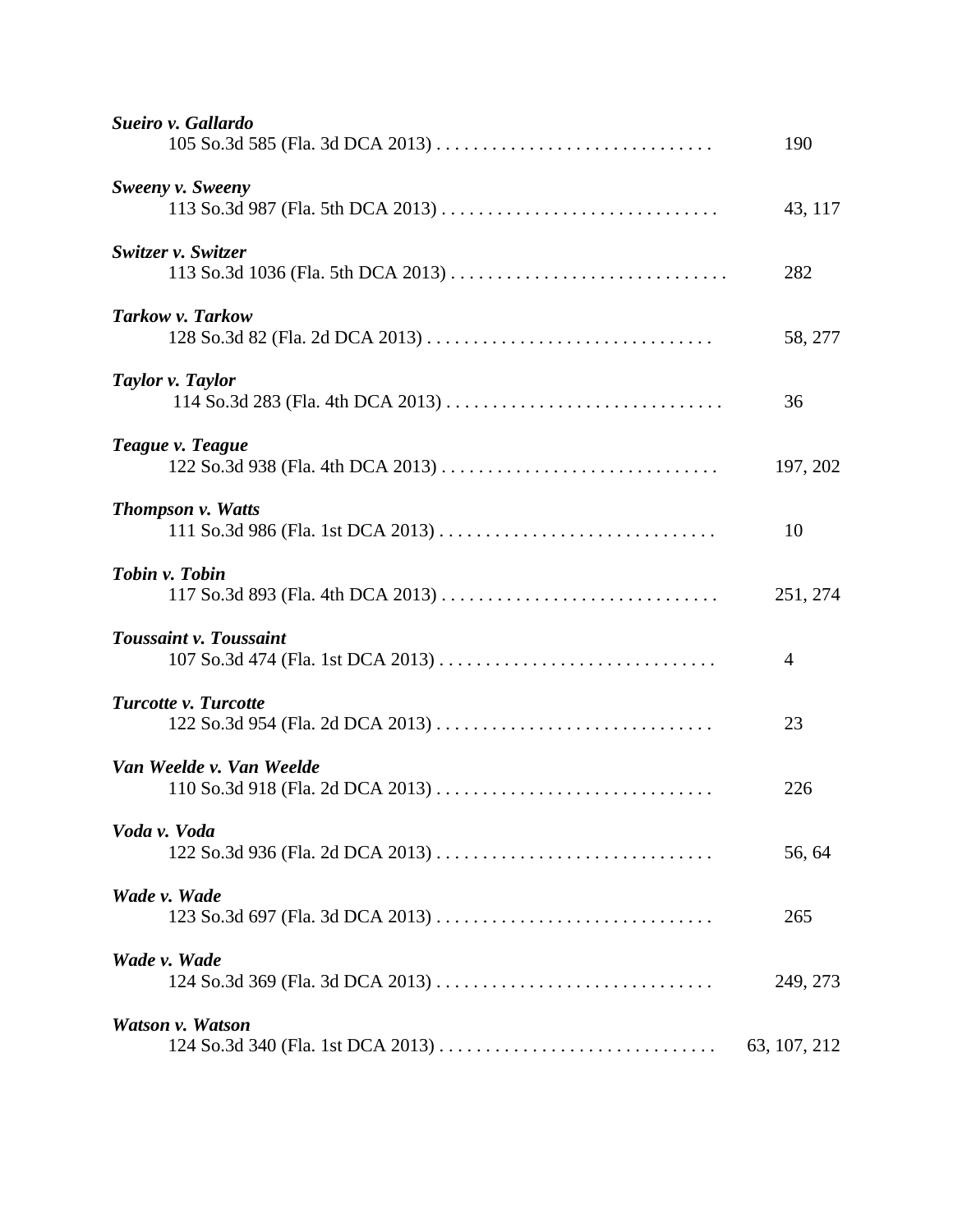| Sueiro v. Gallardo       | 190            |
|--------------------------|----------------|
| Sweeny v. Sweeny         | 43, 117        |
| Switzer v. Switzer       | 282            |
| Tarkow v. Tarkow         | 58, 277        |
| Taylor v. Taylor         | 36             |
| Teague v. Teague         | 197, 202       |
| <b>Thompson v. Watts</b> | 10             |
| Tobin v. Tobin           | 251, 274       |
| Toussaint v. Toussaint   | $\overline{4}$ |
| Turcotte v. Turcotte     | 23             |
| Van Weelde v. Van Weelde | 226            |
| Voda v. Voda             | 56, 64         |
| Wade v. Wade             | 265            |
| Wade v. Wade             | 249, 273       |
| Watson v. Watson         | 63, 107, 212   |